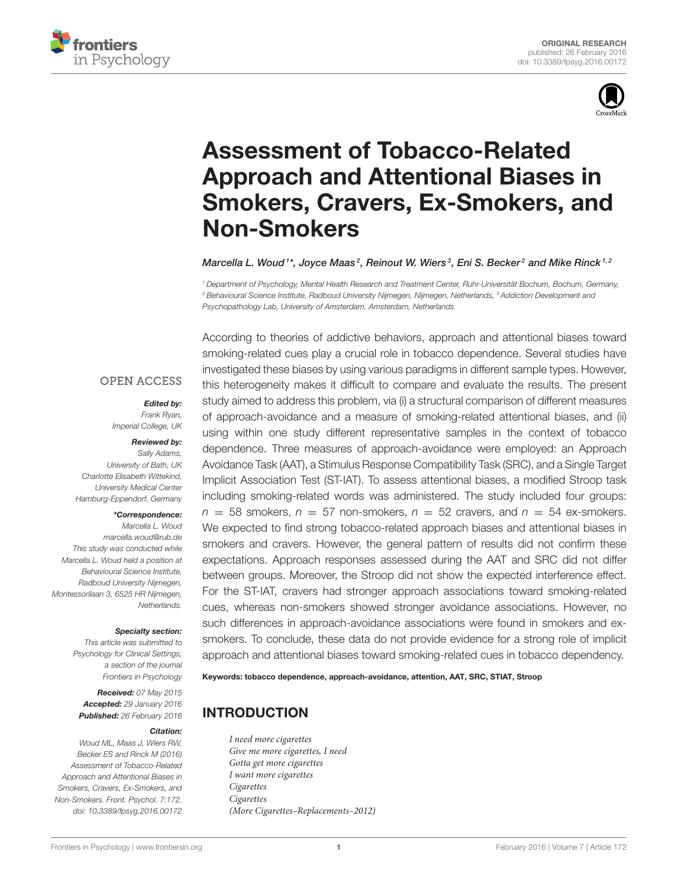



# Assessment of Tobacco-Related Approach and Attentional Biases in [Smokers, Cravers, Ex-Smokers, and](http://journal.frontiersin.org/article/10.3389/fpsyg.2016.00172/abstract) Non-Smokers

[Marcella L. Woud](http://loop.frontiersin.org/people/207056/overview)1\*, Joyce Maas<sup>2</sup>, Reinout W. Wiers<sup>3</sup>, [Eni S. Becker](http://loop.frontiersin.org/people/319483/overview)<sup>2</sup> and [Mike Rinck](http://loop.frontiersin.org/people/15801/overview)<sup>1,2</sup>

<sup>1</sup> Department of Psychology, Mental Health Research and Treatment Center, Ruhr-Universität Bochum, Bochum, Germany, <sup>2</sup> Behavioural Science Institute, Radboud University Nijmegen, Nijmegen, Netherlands, <sup>3</sup> Addiction Development and Psychopathology Lab, University of Amsterdam, Amsterdam, Netherlands

### **OPEN ACCESS**

### Edited by:

Frank Ryan, Imperial College, UK

#### Reviewed by:

Sally Adams, University of Bath, UK Charlotte Elisabeth Wittekind, University Medical Center Hamburg-Eppendorf, Germany

#### \*Correspondence:

Marcella L. Woud [marcella.woud@rub.de](mailto:marcella.woud@rub.de) This study was conducted while Marcella L. Woud held a position at Behavioural Science Institute, Radboud University Nijmegen, Montessorilaan 3, 6525 HR Nijmegen, Netherlands.

#### Specialty section:

This article was submitted to Psychology for Clinical Settings, a section of the journal Frontiers in Psychology

Received: 07 May 2015 Accepted: 29 January 2016 Published: 26 February 2016

#### Citation:

Woud ML, Maas J, Wiers RW, Becker ES and Rinck M (2016) Assessment of Tobacco-Related Approach and Attentional Biases in Smokers, Cravers, Ex-Smokers, and Non-Smokers. Front. Psychol. 7:172. doi: [10.3389/fpsyg.2016.00172](http://dx.doi.org/10.3389/fpsyg.2016.00172)

According to theories of addictive behaviors, approach and attentional biases toward smoking-related cues play a crucial role in tobacco dependence. Several studies have investigated these biases by using various paradigms in different sample types. However, this heterogeneity makes it difficult to compare and evaluate the results. The present study aimed to address this problem, via (i) a structural comparison of different measures of approach-avoidance and a measure of smoking-related attentional biases, and (ii) using within one study different representative samples in the context of tobacco dependence. Three measures of approach-avoidance were employed: an Approach Avoidance Task (AAT), a Stimulus Response Compatibility Task (SRC), and a Single Target Implicit Association Test (ST-IAT). To assess attentional biases, a modified Stroop task including smoking-related words was administered. The study included four groups:  $n = 58$  smokers,  $n = 57$  non-smokers,  $n = 52$  cravers, and  $n = 54$  ex-smokers. We expected to find strong tobacco-related approach biases and attentional biases in smokers and cravers. However, the general pattern of results did not confirm these expectations. Approach responses assessed during the AAT and SRC did not differ between groups. Moreover, the Stroop did not show the expected interference effect. For the ST-IAT, cravers had stronger approach associations toward smoking-related cues, whereas non-smokers showed stronger avoidance associations. However, no such differences in approach-avoidance associations were found in smokers and exsmokers. To conclude, these data do not provide evidence for a strong role of implicit approach and attentional biases toward smoking-related cues in tobacco dependency.

Keywords: tobacco dependence, approach-avoidance, attention, AAT, SRC, STIAT, Stroop

## INTRODUCTION

I need more cigarettes Give me more cigarettes, I need Gotta get more cigarettes I want more cigarettes Cigarettes Cigarettes (More Cigarettes–Replacements–2012)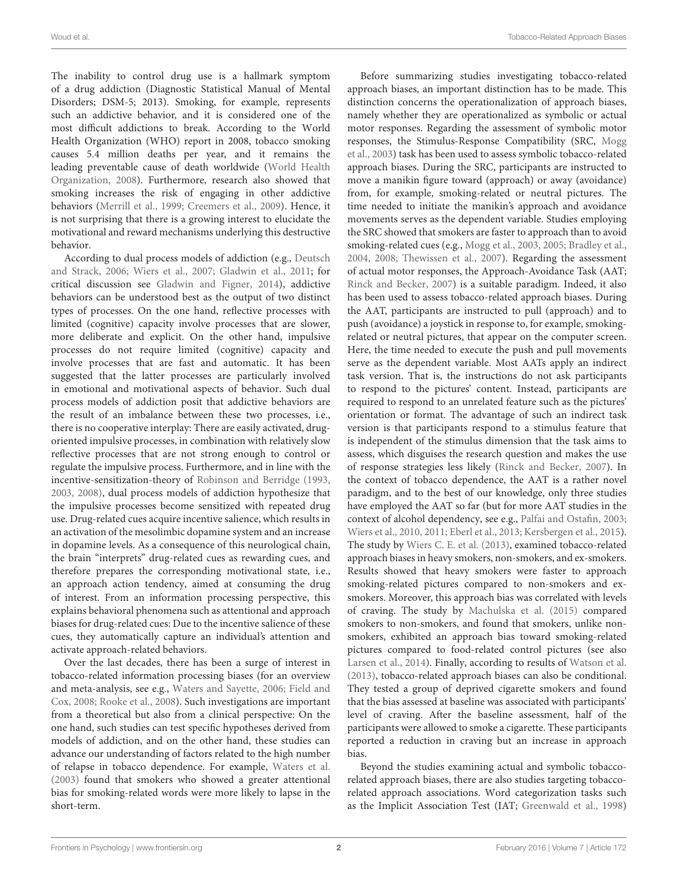The inability to control drug use is a hallmark symptom of a drug addiction (Diagnostic Statistical Manual of Mental Disorders; DSM-5; 2013). Smoking, for example, represents such an addictive behavior, and it is considered one of the most difficult addictions to break. According to the World Health Organization (WHO) report in 2008, tobacco smoking causes 5.4 million deaths per year, and it remains the leading preventable cause of death worldwide (World Health Organization, [2008\)](#page-10-0). Furthermore, research also showed that smoking increases the risk of engaging in other addictive behaviors [\(Merrill et al., 1999;](#page-10-1) [Creemers et al., 2009\)](#page-9-0). Hence, it is not surprising that there is a growing interest to elucidate the motivational and reward mechanisms underlying this destructive behavior.

According to dual process models of addiction (e.g., Deutsch and Strack, [2006;](#page-9-1) [Wiers et al., 2007;](#page-10-2) [Gladwin et al., 2011;](#page-9-2) for critical discussion see [Gladwin and Figner, 2014\)](#page-9-3), addictive behaviors can be understood best as the output of two distinct types of processes. On the one hand, reflective processes with limited (cognitive) capacity involve processes that are slower, more deliberate and explicit. On the other hand, impulsive processes do not require limited (cognitive) capacity and involve processes that are fast and automatic. It has been suggested that the latter processes are particularly involved in emotional and motivational aspects of behavior. Such dual process models of addiction posit that addictive behaviors are the result of an imbalance between these two processes, i.e., there is no cooperative interplay: There are easily activated, drugoriented impulsive processes, in combination with relatively slow reflective processes that are not strong enough to control or regulate the impulsive process. Furthermore, and in line with the incentive-sensitization-theory of [Robinson and Berridge \(1993,](#page-10-3) [2003,](#page-10-4) [2008\)](#page-10-5), dual process models of addiction hypothesize that the impulsive processes become sensitized with repeated drug use. Drug-related cues acquire incentive salience, which results in an activation of the mesolimbic dopamine system and an increase in dopamine levels. As a consequence of this neurological chain, the brain "interprets" drug-related cues as rewarding cues, and therefore prepares the corresponding motivational state, i.e., an approach action tendency, aimed at consuming the drug of interest. From an information processing perspective, this explains behavioral phenomena such as attentional and approach biases for drug-related cues: Due to the incentive salience of these cues, they automatically capture an individual's attention and activate approach-related behaviors.

Over the last decades, there has been a surge of interest in tobacco-related information processing biases (for an overview and meta-analysis, see e.g., [Waters and Sayette, 2006;](#page-10-6) Field and Cox, [2008;](#page-9-4) [Rooke et al., 2008\)](#page-10-7). Such investigations are important from a theoretical but also from a clinical perspective: On the one hand, such studies can test specific hypotheses derived from models of addiction, and on the other hand, these studies can advance our understanding of factors related to the high number of relapse in tobacco dependence. For example, [Waters et al.](#page-10-8) [\(2003\)](#page-10-8) found that smokers who showed a greater attentional bias for smoking-related words were more likely to lapse in the short-term.

Before summarizing studies investigating tobacco-related approach biases, an important distinction has to be made. This distinction concerns the operationalization of approach biases, namely whether they are operationalized as symbolic or actual motor responses. Regarding the assessment of symbolic motor responses, the Stimulus-Response Compatibility (SRC, Mogg et al., [2003\)](#page-10-9) task has been used to assess symbolic tobacco-related approach biases. During the SRC, participants are instructed to move a manikin figure toward (approach) or away (avoidance) from, for example, smoking-related or neutral pictures. The time needed to initiate the manikin's approach and avoidance movements serves as the dependent variable. Studies employing the SRC showed that smokers are faster to approach than to avoid smoking-related cues (e.g., [Mogg et al., 2003,](#page-10-9) [2005;](#page-10-10) [Bradley et al.,](#page-9-5) [2004,](#page-9-5) [2008;](#page-9-6) [Thewissen et al., 2007\)](#page-10-11). Regarding the assessment of actual motor responses, the Approach-Avoidance Task (AAT; [Rinck and Becker, 2007\)](#page-10-12) is a suitable paradigm. Indeed, it also has been used to assess tobacco-related approach biases. During the AAT, participants are instructed to pull (approach) and to push (avoidance) a joystick in response to, for example, smokingrelated or neutral pictures, that appear on the computer screen. Here, the time needed to execute the push and pull movements serve as the dependent variable. Most AATs apply an indirect task version. That is, the instructions do not ask participants to respond to the pictures' content. Instead, participants are required to respond to an unrelated feature such as the pictures' orientation or format. The advantage of such an indirect task version is that participants respond to a stimulus feature that is independent of the stimulus dimension that the task aims to assess, which disguises the research question and makes the use of response strategies less likely [\(Rinck and Becker, 2007\)](#page-10-12). In the context of tobacco dependence, the AAT is a rather novel paradigm, and to the best of our knowledge, only three studies have employed the AAT so far (but for more AAT studies in the context of alcohol dependency, see e.g., [Palfai and Ostafin, 2003;](#page-10-13) [Wiers et al., 2010,](#page-10-14) [2011;](#page-10-15) [Eberl et al., 2013;](#page-9-7) [Kersbergen et al., 2015\)](#page-10-16). The study by [Wiers C. E. et al. \(2013\)](#page-10-17), examined tobacco-related approach biases in heavy smokers, non-smokers, and ex-smokers. Results showed that heavy smokers were faster to approach smoking-related pictures compared to non-smokers and exsmokers. Moreover, this approach bias was correlated with levels of craving. The study by [Machulska et al. \(2015\)](#page-10-18) compared smokers to non-smokers, and found that smokers, unlike nonsmokers, exhibited an approach bias toward smoking-related pictures compared to food-related control pictures (see also [Larsen et al., 2014\)](#page-10-19). Finally, according to results of [Watson et al.](#page-10-20) [\(2013\)](#page-10-20), tobacco-related approach biases can also be conditional. They tested a group of deprived cigarette smokers and found that the bias assessed at baseline was associated with participants' level of craving. After the baseline assessment, half of the participants were allowed to smoke a cigarette. These participants reported a reduction in craving but an increase in approach bias.

Beyond the studies examining actual and symbolic tobaccorelated approach biases, there are also studies targeting tobaccorelated approach associations. Word categorization tasks such as the Implicit Association Test (IAT; [Greenwald et al., 1998\)](#page-9-8)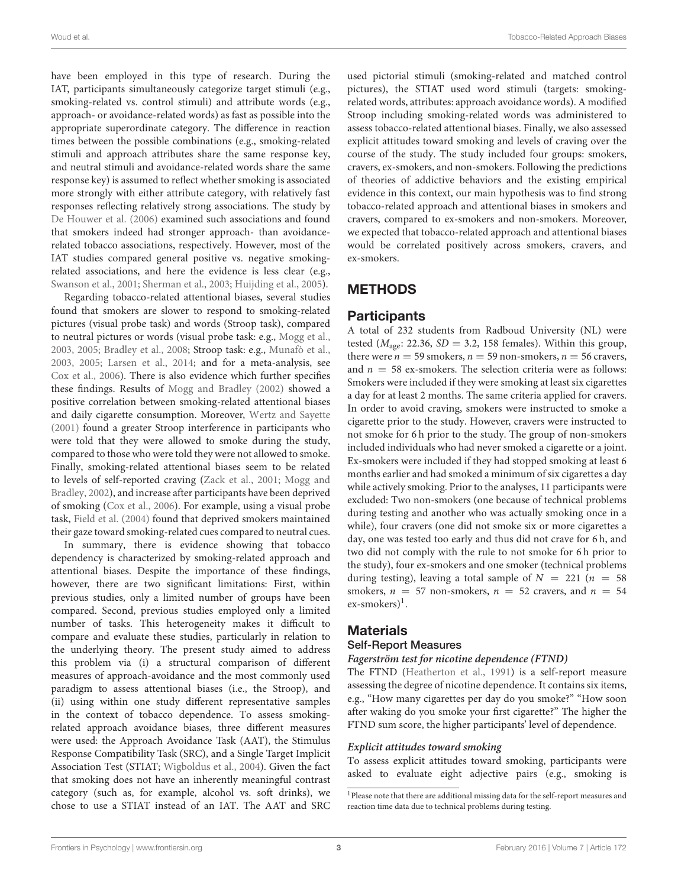have been employed in this type of research. During the IAT, participants simultaneously categorize target stimuli (e.g., smoking-related vs. control stimuli) and attribute words (e.g., approach- or avoidance-related words) as fast as possible into the appropriate superordinate category. The difference in reaction times between the possible combinations (e.g., smoking-related stimuli and approach attributes share the same response key, and neutral stimuli and avoidance-related words share the same response key) is assumed to reflect whether smoking is associated more strongly with either attribute category, with relatively fast responses reflecting relatively strong associations. The study by [De Houwer et al. \(2006\)](#page-9-9) examined such associations and found that smokers indeed had stronger approach- than avoidancerelated tobacco associations, respectively. However, most of the IAT studies compared general positive vs. negative smokingrelated associations, and here the evidence is less clear (e.g., [Swanson et al., 2001;](#page-10-21) [Sherman et al., 2003;](#page-10-22) [Huijding et al., 2005\)](#page-10-23).

Regarding tobacco-related attentional biases, several studies found that smokers are slower to respond to smoking-related pictures (visual probe task) and words (Stroop task), compared to neutral pictures or words (visual probe task: e.g., [Mogg et al.,](#page-10-9) [2003,](#page-10-9) [2005;](#page-10-10) [Bradley et al., 2008;](#page-9-6) Stroop task: e.g., [Munafò et al.,](#page-10-24) [2003,](#page-10-24) [2005;](#page-10-25) [Larsen et al., 2014;](#page-10-19) and for a meta-analysis, see [Cox et al., 2006\)](#page-9-10). There is also evidence which further specifies these findings. Results of [Mogg and Bradley \(2002\)](#page-10-26) showed a positive correlation between smoking-related attentional biases and daily cigarette consumption. Moreover, [Wertz and Sayette](#page-10-27) [\(2001\)](#page-10-27) found a greater Stroop interference in participants who were told that they were allowed to smoke during the study, compared to those who were told they were not allowed to smoke. Finally, smoking-related attentional biases seem to be related to levels of self-reported craving [\(Zack et al., 2001;](#page-10-28) Mogg and Bradley, [2002\)](#page-10-26), and increase after participants have been deprived of smoking [\(Cox et al., 2006\)](#page-9-10). For example, using a visual probe task, [Field et al. \(2004\)](#page-9-11) found that deprived smokers maintained their gaze toward smoking-related cues compared to neutral cues.

In summary, there is evidence showing that tobacco dependency is characterized by smoking-related approach and attentional biases. Despite the importance of these findings, however, there are two significant limitations: First, within previous studies, only a limited number of groups have been compared. Second, previous studies employed only a limited number of tasks. This heterogeneity makes it difficult to compare and evaluate these studies, particularly in relation to the underlying theory. The present study aimed to address this problem via (i) a structural comparison of different measures of approach-avoidance and the most commonly used paradigm to assess attentional biases (i.e., the Stroop), and (ii) using within one study different representative samples in the context of tobacco dependence. To assess smokingrelated approach avoidance biases, three different measures were used: the Approach Avoidance Task (AAT), the Stimulus Response Compatibility Task (SRC), and a Single Target Implicit Association Test (STIAT; [Wigboldus et al., 2004\)](#page-10-29). Given the fact that smoking does not have an inherently meaningful contrast category (such as, for example, alcohol vs. soft drinks), we chose to use a STIAT instead of an IAT. The AAT and SRC used pictorial stimuli (smoking-related and matched control pictures), the STIAT used word stimuli (targets: smokingrelated words, attributes: approach avoidance words). A modified Stroop including smoking-related words was administered to assess tobacco-related attentional biases. Finally, we also assessed explicit attitudes toward smoking and levels of craving over the course of the study. The study included four groups: smokers, cravers, ex-smokers, and non-smokers. Following the predictions of theories of addictive behaviors and the existing empirical evidence in this context, our main hypothesis was to find strong tobacco-related approach and attentional biases in smokers and cravers, compared to ex-smokers and non-smokers. Moreover, we expected that tobacco-related approach and attentional biases would be correlated positively across smokers, cravers, and ex-smokers.

## METHODS

## **Participants**

A total of 232 students from Radboud University (NL) were tested ( $M<sub>age</sub>$ : 22.36, SD = 3.2, 158 females). Within this group, there were  $n = 59$  smokers,  $n = 59$  non-smokers,  $n = 56$  cravers, and  $n = 58$  ex-smokers. The selection criteria were as follows: Smokers were included if they were smoking at least six cigarettes a day for at least 2 months. The same criteria applied for cravers. In order to avoid craving, smokers were instructed to smoke a cigarette prior to the study. However, cravers were instructed to not smoke for 6 h prior to the study. The group of non-smokers included individuals who had never smoked a cigarette or a joint. Ex-smokers were included if they had stopped smoking at least 6 months earlier and had smoked a minimum of six cigarettes a day while actively smoking. Prior to the analyses, 11 participants were excluded: Two non-smokers (one because of technical problems during testing and another who was actually smoking once in a while), four cravers (one did not smoke six or more cigarettes a day, one was tested too early and thus did not crave for 6 h, and two did not comply with the rule to not smoke for 6 h prior to the study), four ex-smokers and one smoker (technical problems during testing), leaving a total sample of  $N = 221$  ( $n = 58$ ) smokers,  $n = 57$  non-smokers,  $n = 52$  cravers, and  $n = 54$ ex-smokers)<sup>[1](#page-2-0)</sup>.

# **Materials**

## Self-Report Measures

#### **Fagerström test for nicotine dependence (FTND)**

The FTND [\(Heatherton et al., 1991\)](#page-10-30) is a self-report measure assessing the degree of nicotine dependence. It contains six items, e.g., "How many cigarettes per day do you smoke?" "How soon after waking do you smoke your first cigarette?" The higher the FTND sum score, the higher participants' level of dependence.

### **Explicit attitudes toward smoking**

To assess explicit attitudes toward smoking, participants were asked to evaluate eight adjective pairs (e.g., smoking is

<span id="page-2-0"></span><sup>&</sup>lt;sup>1</sup>Please note that there are additional missing data for the self-report measures and reaction time data due to technical problems during testing.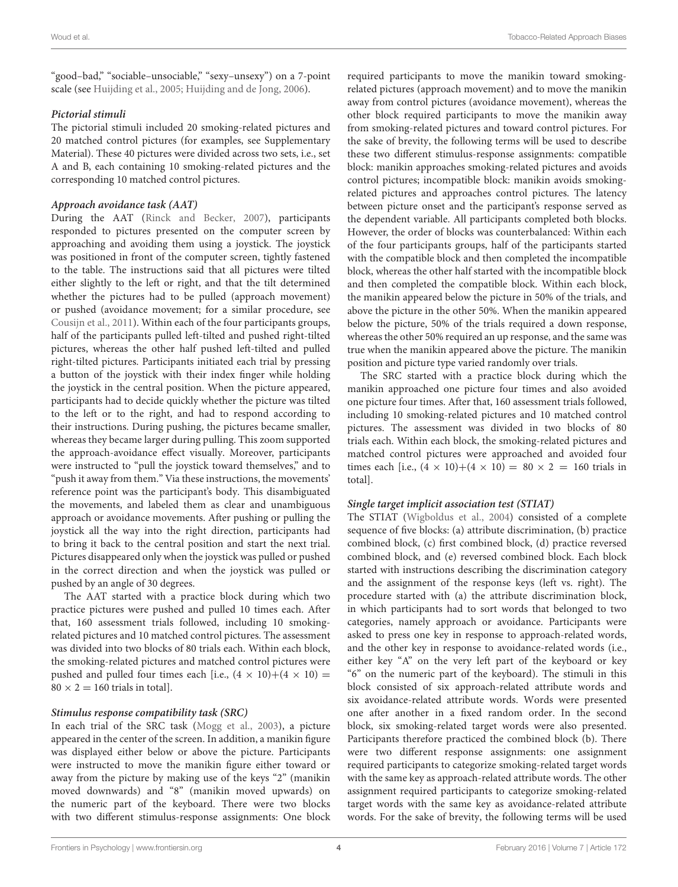"good–bad," "sociable–unsociable," "sexy–unsexy") on a 7-point scale (see [Huijding et al., 2005;](#page-10-23) [Huijding and de Jong, 2006\)](#page-10-31).

#### **Pictorial stimuli**

The pictorial stimuli included 20 smoking-related pictures and 20 matched control pictures (for examples, see Supplementary Material). These 40 pictures were divided across two sets, i.e., set A and B, each containing 10 smoking-related pictures and the corresponding 10 matched control pictures.

#### **Approach avoidance task (AAT)**

During the AAT [\(Rinck and Becker, 2007\)](#page-10-12), participants responded to pictures presented on the computer screen by approaching and avoiding them using a joystick. The joystick was positioned in front of the computer screen, tightly fastened to the table. The instructions said that all pictures were tilted either slightly to the left or right, and that the tilt determined whether the pictures had to be pulled (approach movement) or pushed (avoidance movement; for a similar procedure, see [Cousijn et al., 2011\)](#page-9-12). Within each of the four participants groups, half of the participants pulled left-tilted and pushed right-tilted pictures, whereas the other half pushed left-tilted and pulled right-tilted pictures. Participants initiated each trial by pressing a button of the joystick with their index finger while holding the joystick in the central position. When the picture appeared, participants had to decide quickly whether the picture was tilted to the left or to the right, and had to respond according to their instructions. During pushing, the pictures became smaller, whereas they became larger during pulling. This zoom supported the approach-avoidance effect visually. Moreover, participants were instructed to "pull the joystick toward themselves," and to "push it away from them." Via these instructions, the movements' reference point was the participant's body. This disambiguated the movements, and labeled them as clear and unambiguous approach or avoidance movements. After pushing or pulling the joystick all the way into the right direction, participants had to bring it back to the central position and start the next trial. Pictures disappeared only when the joystick was pulled or pushed in the correct direction and when the joystick was pulled or pushed by an angle of 30 degrees.

The AAT started with a practice block during which two practice pictures were pushed and pulled 10 times each. After that, 160 assessment trials followed, including 10 smokingrelated pictures and 10 matched control pictures. The assessment was divided into two blocks of 80 trials each. Within each block, the smoking-related pictures and matched control pictures were pushed and pulled four times each [i.e.,  $(4 \times 10)+(4 \times 10)$  =  $80 \times 2 = 160$  trials in total].

#### **Stimulus response compatibility task (SRC)**

In each trial of the SRC task [\(Mogg et al., 2003\)](#page-10-9), a picture appeared in the center of the screen. In addition, a manikin figure was displayed either below or above the picture. Participants were instructed to move the manikin figure either toward or away from the picture by making use of the keys "2" (manikin moved downwards) and "8" (manikin moved upwards) on the numeric part of the keyboard. There were two blocks with two different stimulus-response assignments: One block required participants to move the manikin toward smokingrelated pictures (approach movement) and to move the manikin away from control pictures (avoidance movement), whereas the other block required participants to move the manikin away from smoking-related pictures and toward control pictures. For the sake of brevity, the following terms will be used to describe these two different stimulus-response assignments: compatible block: manikin approaches smoking-related pictures and avoids control pictures; incompatible block: manikin avoids smokingrelated pictures and approaches control pictures. The latency between picture onset and the participant's response served as the dependent variable. All participants completed both blocks. However, the order of blocks was counterbalanced: Within each of the four participants groups, half of the participants started with the compatible block and then completed the incompatible block, whereas the other half started with the incompatible block and then completed the compatible block. Within each block, the manikin appeared below the picture in 50% of the trials, and above the picture in the other 50%. When the manikin appeared below the picture, 50% of the trials required a down response, whereas the other 50% required an up response, and the same was true when the manikin appeared above the picture. The manikin position and picture type varied randomly over trials.

The SRC started with a practice block during which the manikin approached one picture four times and also avoided one picture four times. After that, 160 assessment trials followed, including 10 smoking-related pictures and 10 matched control pictures. The assessment was divided in two blocks of 80 trials each. Within each block, the smoking-related pictures and matched control pictures were approached and avoided four times each [i.e.,  $(4 \times 10) + (4 \times 10) = 80 \times 2 = 160$  trials in total].

#### **Single target implicit association test (STIAT)**

The STIAT [\(Wigboldus et al., 2004\)](#page-10-29) consisted of a complete sequence of five blocks: (a) attribute discrimination, (b) practice combined block, (c) first combined block, (d) practice reversed combined block, and (e) reversed combined block. Each block started with instructions describing the discrimination category and the assignment of the response keys (left vs. right). The procedure started with (a) the attribute discrimination block, in which participants had to sort words that belonged to two categories, namely approach or avoidance. Participants were asked to press one key in response to approach-related words, and the other key in response to avoidance-related words (i.e., either key "A" on the very left part of the keyboard or key "6" on the numeric part of the keyboard). The stimuli in this block consisted of six approach-related attribute words and six avoidance-related attribute words. Words were presented one after another in a fixed random order. In the second block, six smoking-related target words were also presented. Participants therefore practiced the combined block (b). There were two different response assignments: one assignment required participants to categorize smoking-related target words with the same key as approach-related attribute words. The other assignment required participants to categorize smoking-related target words with the same key as avoidance-related attribute words. For the sake of brevity, the following terms will be used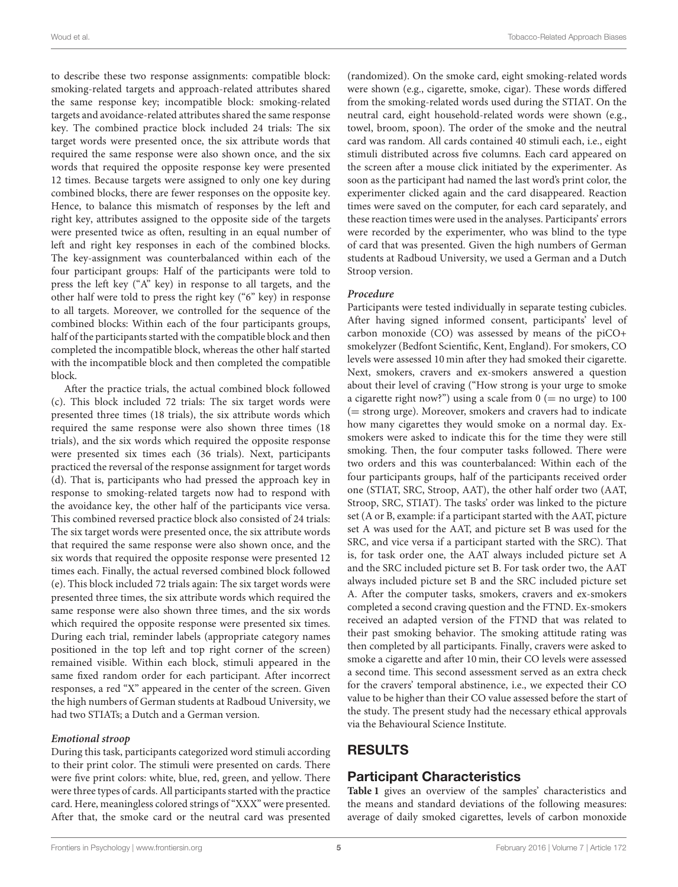to describe these two response assignments: compatible block: smoking-related targets and approach-related attributes shared the same response key; incompatible block: smoking-related targets and avoidance-related attributes shared the same response key. The combined practice block included 24 trials: The six target words were presented once, the six attribute words that required the same response were also shown once, and the six words that required the opposite response key were presented 12 times. Because targets were assigned to only one key during combined blocks, there are fewer responses on the opposite key. Hence, to balance this mismatch of responses by the left and right key, attributes assigned to the opposite side of the targets were presented twice as often, resulting in an equal number of left and right key responses in each of the combined blocks. The key-assignment was counterbalanced within each of the four participant groups: Half of the participants were told to press the left key ("A" key) in response to all targets, and the other half were told to press the right key ("6" key) in response to all targets. Moreover, we controlled for the sequence of the combined blocks: Within each of the four participants groups, half of the participants started with the compatible block and then completed the incompatible block, whereas the other half started with the incompatible block and then completed the compatible block.

After the practice trials, the actual combined block followed (c). This block included 72 trials: The six target words were presented three times (18 trials), the six attribute words which required the same response were also shown three times (18 trials), and the six words which required the opposite response were presented six times each (36 trials). Next, participants practiced the reversal of the response assignment for target words (d). That is, participants who had pressed the approach key in response to smoking-related targets now had to respond with the avoidance key, the other half of the participants vice versa. This combined reversed practice block also consisted of 24 trials: The six target words were presented once, the six attribute words that required the same response were also shown once, and the six words that required the opposite response were presented 12 times each. Finally, the actual reversed combined block followed (e). This block included 72 trials again: The six target words were presented three times, the six attribute words which required the same response were also shown three times, and the six words which required the opposite response were presented six times. During each trial, reminder labels (appropriate category names positioned in the top left and top right corner of the screen) remained visible. Within each block, stimuli appeared in the same fixed random order for each participant. After incorrect responses, a red "X" appeared in the center of the screen. Given the high numbers of German students at Radboud University, we had two STIATs; a Dutch and a German version.

#### **Emotional stroop**

During this task, participants categorized word stimuli according to their print color. The stimuli were presented on cards. There were five print colors: white, blue, red, green, and yellow. There were three types of cards. All participants started with the practice card. Here, meaningless colored strings of "XXX" were presented. After that, the smoke card or the neutral card was presented (randomized). On the smoke card, eight smoking-related words were shown (e.g., cigarette, smoke, cigar). These words differed from the smoking-related words used during the STIAT. On the neutral card, eight household-related words were shown (e.g., towel, broom, spoon). The order of the smoke and the neutral card was random. All cards contained 40 stimuli each, i.e., eight stimuli distributed across five columns. Each card appeared on the screen after a mouse click initiated by the experimenter. As soon as the participant had named the last word's print color, the experimenter clicked again and the card disappeared. Reaction times were saved on the computer, for each card separately, and these reaction times were used in the analyses. Participants' errors were recorded by the experimenter, who was blind to the type of card that was presented. Given the high numbers of German students at Radboud University, we used a German and a Dutch Stroop version.

#### **Procedure**

Participants were tested individually in separate testing cubicles. After having signed informed consent, participants' level of carbon monoxide (CO) was assessed by means of the piCO+ smokelyzer (Bedfont Scientific, Kent, England). For smokers, CO levels were assessed 10 min after they had smoked their cigarette. Next, smokers, cravers and ex-smokers answered a question about their level of craving ("How strong is your urge to smoke a cigarette right now?") using a scale from  $0 (=$  no urge) to 100 (= strong urge). Moreover, smokers and cravers had to indicate how many cigarettes they would smoke on a normal day. Exsmokers were asked to indicate this for the time they were still smoking. Then, the four computer tasks followed. There were two orders and this was counterbalanced: Within each of the four participants groups, half of the participants received order one (STIAT, SRC, Stroop, AAT), the other half order two (AAT, Stroop, SRC, STIAT). The tasks' order was linked to the picture set (A or B, example: if a participant started with the AAT, picture set A was used for the AAT, and picture set B was used for the SRC, and vice versa if a participant started with the SRC). That is, for task order one, the AAT always included picture set A and the SRC included picture set B. For task order two, the AAT always included picture set B and the SRC included picture set A. After the computer tasks, smokers, cravers and ex-smokers completed a second craving question and the FTND. Ex-smokers received an adapted version of the FTND that was related to their past smoking behavior. The smoking attitude rating was then completed by all participants. Finally, cravers were asked to smoke a cigarette and after 10 min, their CO levels were assessed a second time. This second assessment served as an extra check for the cravers' temporal abstinence, i.e., we expected their CO value to be higher than their CO value assessed before the start of the study. The present study had the necessary ethical approvals via the Behavioural Science Institute.

# RESULTS

## Participant Characteristics

**[Table 1](#page-6-0)** gives an overview of the samples' characteristics and the means and standard deviations of the following measures: average of daily smoked cigarettes, levels of carbon monoxide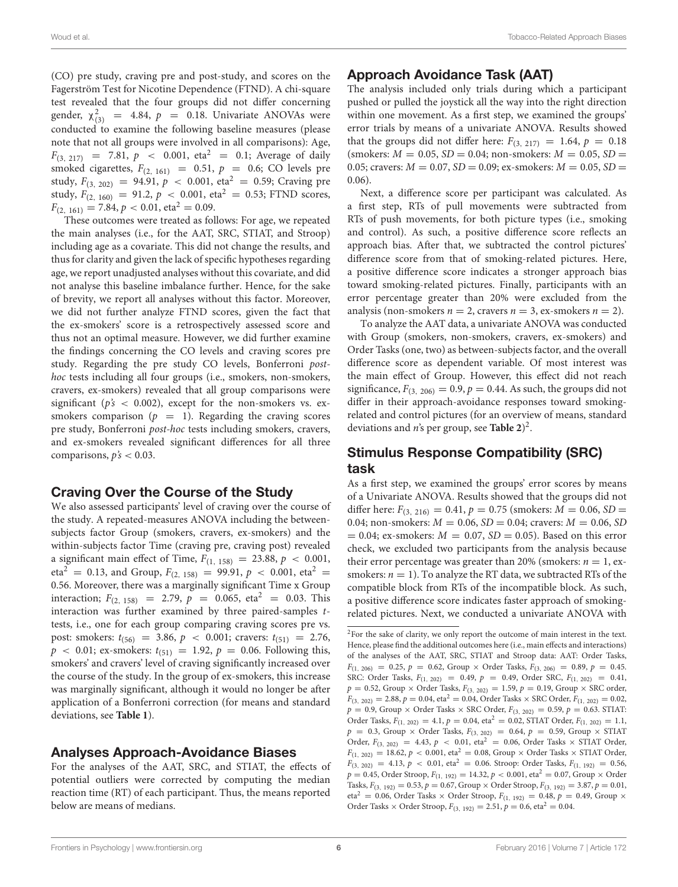(CO) pre study, craving pre and post-study, and scores on the Fagerström Test for Nicotine Dependence (FTND). A chi-square test revealed that the four groups did not differ concerning gender,  $\chi^2_{(3)}$  = 4.84,  $p$  = 0.18. Univariate ANOVAs were conducted to examine the following baseline measures (please note that not all groups were involved in all comparisons): Age,  $F_{(3, 217)} = 7.81, p \le 0.001, \text{ eta}^2 = 0.1; \text{ Average of daily}$ smoked cigarettes,  $F_{(2, 161)} = 0.51$ ,  $p = 0.6$ ; CO levels pre study,  $F_{(3, 202)} = 94.91, p < 0.001, \text{ eta}^2 = 0.59; \text{ Crawing pre}$ study,  $F_{(2, 160)} = 91.2$ ,  $p < 0.001$ , eta<sup>2</sup> = 0.53; FTND scores,  $F_{(2, 161)} = 7.84, p < 0.01, \text{eta}^2 = 0.09.$ 

These outcomes were treated as follows: For age, we repeated the main analyses (i.e., for the AAT, SRC, STIAT, and Stroop) including age as a covariate. This did not change the results, and thus for clarity and given the lack of specific hypotheses regarding age, we report unadjusted analyses without this covariate, and did not analyse this baseline imbalance further. Hence, for the sake of brevity, we report all analyses without this factor. Moreover, we did not further analyze FTND scores, given the fact that the ex-smokers' score is a retrospectively assessed score and thus not an optimal measure. However, we did further examine the findings concerning the CO levels and craving scores pre study. Regarding the pre study CO levels, Bonferroni posthoc tests including all four groups (i.e., smokers, non-smokers, cravers, ex-smokers) revealed that all group comparisons were significant ( $p's < 0.002$ ), except for the non-smokers vs. exsmokers comparison ( $p = 1$ ). Regarding the craving scores pre study, Bonferroni post-hoc tests including smokers, cravers, and ex-smokers revealed significant differences for all three comparisons,  $p's < 0.03$ .

## Craving Over the Course of the Study

We also assessed participants' level of craving over the course of the study. A repeated-measures ANOVA including the betweensubjects factor Group (smokers, cravers, ex-smokers) and the within-subjects factor Time (craving pre, craving post) revealed a significant main effect of Time,  $F_{(1, 158)} = 23.88$ ,  $p < 0.001$ ,  $eta^2 = 0.13$ , and Group,  $F_{(2, 158)} = 99.91$ ,  $p < 0.001$ , eta<sup>2</sup> = 0.56. Moreover, there was a marginally significant Time x Group interaction;  $F_{(2, 158)} = 2.79$ ,  $p = 0.065$ , eta<sup>2</sup> = 0.03. This interaction was further examined by three paired-samples ttests, i.e., one for each group comparing craving scores pre vs. post: smokers:  $t_{(56)} = 3.86$ ,  $p < 0.001$ ; cravers:  $t_{(51)} = 2.76$ ,  $p \sim 0.01$ ; ex-smokers:  $t_{(51)} = 1.92$ ,  $p = 0.06$ . Following this, smokers' and cravers' level of craving significantly increased over the course of the study. In the group of ex-smokers, this increase was marginally significant, although it would no longer be after application of a Bonferroni correction (for means and standard deviations, see **[Table 1](#page-6-0)**).

## Analyses Approach-Avoidance Biases

For the analyses of the AAT, SRC, and STIAT, the effects of potential outliers were corrected by computing the median reaction time (RT) of each participant. Thus, the means reported below are means of medians.

# Approach Avoidance Task (AAT)

The analysis included only trials during which a participant pushed or pulled the joystick all the way into the right direction within one movement. As a first step, we examined the groups' error trials by means of a univariate ANOVA. Results showed that the groups did not differ here:  $F_{(3, 217)} = 1.64$ ,  $p = 0.18$ (smokers:  $M = 0.05$ ,  $SD = 0.04$ ; non-smokers:  $M = 0.05$ ,  $SD =$ 0.05; cravers:  $M = 0.07$ ,  $SD = 0.09$ ; ex-smokers:  $M = 0.05$ ,  $SD =$ 0.06).

Next, a difference score per participant was calculated. As a first step, RTs of pull movements were subtracted from RTs of push movements, for both picture types (i.e., smoking and control). As such, a positive difference score reflects an approach bias. After that, we subtracted the control pictures' difference score from that of smoking-related pictures. Here, a positive difference score indicates a stronger approach bias toward smoking-related pictures. Finally, participants with an error percentage greater than 20% were excluded from the analysis (non-smokers  $n = 2$ , cravers  $n = 3$ , ex-smokers  $n = 2$ ).

To analyze the AAT data, a univariate ANOVA was conducted with Group (smokers, non-smokers, cravers, ex-smokers) and Order Tasks (one, two) as between-subjects factor, and the overall difference score as dependent variable. Of most interest was the main effect of Group. However, this effect did not reach significance,  $F_{(3, 206)} = 0.9$ ,  $p = 0.44$ . As such, the groups did not differ in their approach-avoidance responses toward smokingrelated and control pictures (for an overview of means, standard deviations and n's per group, see **[Table 2](#page-6-1)**) [2](#page-5-0) .

## Stimulus Response Compatibility (SRC) task

As a first step, we examined the groups' error scores by means of a Univariate ANOVA. Results showed that the groups did not differ here:  $F_{(3, 216)} = 0.41$ ,  $p = 0.75$  (smokers:  $M = 0.06$ , SD = 0.04; non-smokers:  $M = 0.06$ ,  $SD = 0.04$ ; cravers:  $M = 0.06$ ,  $SD$  $= 0.04$ ; ex-smokers:  $M = 0.07$ ,  $SD = 0.05$ ). Based on this error check, we excluded two participants from the analysis because their error percentage was greater than 20% (smokers:  $n = 1$ , exsmokers:  $n = 1$ ). To analyze the RT data, we subtracted RTs of the compatible block from RTs of the incompatible block. As such, a positive difference score indicates faster approach of smokingrelated pictures. Next, we conducted a univariate ANOVA with

<span id="page-5-0"></span> $^2\rm{For}$  the sake of clarity, we only report the outcome of main interest in the text. Hence, please find the additional outcomes here (i.e., main effects and interactions) of the analyses of the AAT, SRC, STIAT and Stroop data: AAT: Order Tasks,  $F_{(1, 206)} = 0.25$ ,  $p = 0.62$ , Group × Order Tasks,  $F_{(3, 206)} = 0.89$ ,  $p = 0.45$ . SRC: Order Tasks,  $F_{(1, 202)} = 0.49$ ,  $p = 0.49$ , Order SRC,  $F_{(1, 202)} = 0.41$ ,  $p = 0.52$ , Group  $\times$  Order Tasks,  $F_{(3, 202)} = 1.59$ ,  $p = 0.19$ , Group  $\times$  SRC order,  $F_{(3, 202)} = 2.88$ ,  $p = 0.04$ , eta<sup>2</sup> = 0.04, Order Tasks × SRC Order,  $F_{(1, 202)} = 0.02$ ,  $p = 0.9$ , Group × Order Tasks × SRC Order,  $F_{(3, 202)} = 0.59$ ,  $p = 0.63$ . STIAT: Order Tasks,  $F_{(1, 202)} = 4.1$ ,  $p = 0.04$ , eta<sup>2</sup> = 0.02, STIAT Order,  $F_{(1, 202)} = 1.1$ ,  $p = 0.3$ , Group × Order Tasks,  $F_{(3, 202)} = 0.64$ ,  $p = 0.59$ , Group × STIAT Order,  $F_{(3, 202)} = 4.43$ ,  $p < 0.01$ , eta<sup>2</sup> = 0.06, Order Tasks × STIAT Order,  $F_{(1, 202)} = 18.62$ ,  $p < 0.001$ , eta<sup>2</sup> = 0.08, Group × Order Tasks × STIAT Order,  $F_{(3, 202)} = 4.13$ ,  $p < 0.01$ , eta<sup>2</sup> = 0.06. Stroop: Order Tasks,  $F_{(1, 192)} = 0.56$ ,  $p = 0.45$ , Order Stroop,  $F_{(1, 192)} = 14.32$ ,  $p < 0.001$ , eta<sup>2</sup> = 0.07, Group × Order Tasks,  $F_{(3, 192)} = 0.53$ ,  $p = 0.67$ , Group  $\times$  Order Stroop,  $F_{(3, 192)} = 3.87$ ,  $p = 0.01$ , eta<sup>2</sup> = 0.06, Order Tasks × Order Stroop,  $F_{(1, 192)} = 0.48$ ,  $p = 0.49$ , Group × Order Tasks  $\times$  Order Stroop,  $F_{(3, 192)} = 2.51, p = 0.6, \text{eta}^2 = 0.04.$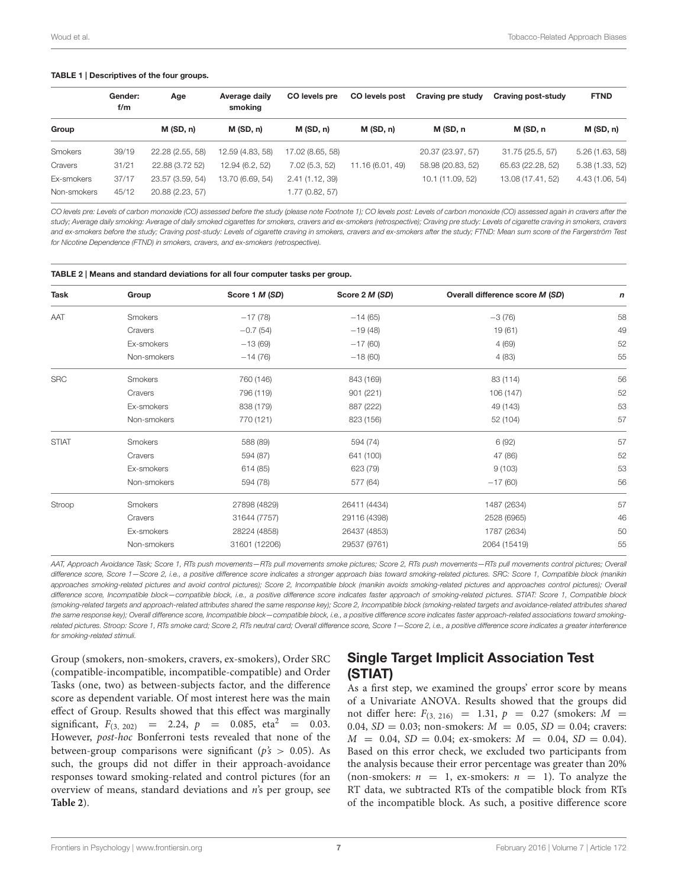#### <span id="page-6-0"></span>TABLE 1 | Descriptives of the four groups.

|             | Gender:<br>f/m | Age              | Average daily<br>smoking | CO levels pre    | CO levels post   | Craving pre study | Craving post-study | <b>FTND</b>     |
|-------------|----------------|------------------|--------------------------|------------------|------------------|-------------------|--------------------|-----------------|
| Group       |                | M(SD, n)         | M(SD, n)                 | M(SD, n)         | M(SD, n)         | M (SD, n          | M (SD, n           | M(SD, n)        |
| Smokers     | 39/19          | 22.28 (2.55, 58) | 12.59 (4.83, 58)         | 17.02 (8.65, 58) |                  | 20.37 (23.97, 57) | 31.75 (25.5, 57)   | 5.26(1.63, 58)  |
| Cravers     | 31/21          | 22.88 (3.72 52)  | 12.94 (6.2, 52)          | 7.02(5.3, 52)    | 11.16 (6.01, 49) | 58.98 (20.83, 52) | 65.63 (22.28, 52)  | 5.38(1.33, 52)  |
| Ex-smokers  | 37/17          | 23.57 (3.59, 54) | 13.70 (6.69, 54)         | 2.41(1.12, 39)   |                  | 10.1 (11.09, 52)  | 13.08 (17.41, 52)  | 4.43 (1.06, 54) |
| Non-smokers | 45/12          | 20.88 (2.23, 57) |                          | 1.77 (0.82, 57)  |                  |                   |                    |                 |

CO levels pre: Levels of carbon monoxide (CO) assessed before the study (please note Footnote 1); CO levels post: Levels of carbon monoxide (CO) assessed again in cravers after the study; Average daily smoking: Average of daily smoked cigarettes for smokers, cravers and ex-smokers (retrospective); Craving pre study: Levels of cigarette craving in smokers, cravers and ex-smokers before the study; Craving post-study: Levels of cigarette craving in smokers, cravers and ex-smokers after the study; FTND: Mean sum score of the Fargerström Test for Nicotine Dependence (FTND) in smokers, cravers, and ex-smokers (retrospective).

<span id="page-6-1"></span>

| <b>Task</b>  | Group          | Score 1 M (SD) | Score 2 M (SD) | Overall difference score M (SD) | n  |
|--------------|----------------|----------------|----------------|---------------------------------|----|
| AAT          | <b>Smokers</b> | $-17(78)$      | $-14(65)$      | $-3(76)$                        | 58 |
|              | Cravers        | $-0.7(54)$     | $-19(48)$      | 19 (61)                         | 49 |
|              | Ex-smokers     | $-13(69)$      | $-17(60)$      | 4(69)                           | 52 |
|              | Non-smokers    | $-14(76)$      | $-18(60)$      | 4(83)                           | 55 |
| <b>SRC</b>   | Smokers        | 760 (146)      | 843 (169)      | 83 (114)                        | 56 |
|              | Cravers        | 796 (119)      | 901 (221)      | 106 (147)                       | 52 |
|              | Ex-smokers     | 838 (179)      | 887 (222)      | 49 (143)                        | 53 |
|              | Non-smokers    | 770 (121)      | 823 (156)      | 52 (104)                        | 57 |
| <b>STIAT</b> | Smokers        | 588 (89)       | 594 (74)       | 6(92)                           | 57 |
|              | Cravers        | 594 (87)       | 641 (100)      | 47 (86)                         | 52 |
|              | Ex-smokers     | 614 (85)       | 623 (79)       | 9(103)                          | 53 |
|              | Non-smokers    | 594 (78)       | 577 (64)       | $-17(60)$                       | 56 |
| Stroop       | Smokers        | 27898 (4829)   | 26411 (4434)   | 1487 (2634)                     | 57 |
|              | Cravers        | 31644 (7757)   | 29116 (4398)   | 2528 (6965)                     | 46 |
|              | Ex-smokers     | 28224 (4858)   | 26437 (4853)   | 1787 (2634)                     | 50 |
|              | Non-smokers    | 31601 (12206)  | 29537 (9761)   | 2064 (15419)                    | 55 |

AAT, Approach Avoidance Task; Score 1, RTs push movements -RTs pull movements smoke pictures; Score 2, RTs push movements --RTs pull movements control pictures; Overall difference score, Score 1–Score 2, i.e., a positive difference score indicates a stronger approach bias toward smoking-related pictures. SRC: Score 1, Compatible block (manikin approaches smoking-related pictures and avoid control pictures); Score 2, Incompatible block (manikin avoids smoking-related pictures and approaches control pictures); Overall difference score, Incompatible block—compatible block, i.e., a positive difference score indicates faster approach of smoking-related pictures. STIAT: Score 1, Compatible block (smoking-related targets and approach-related attributes shared the same response key); Score 2, Incompatible block (smoking-related targets and avoidance-related attributes shared the same response key); Overall difference score, Incompatible block—compatible block, i.e., a positive difference score indicates faster approach-related associations toward smokingrelated pictures. Stroop: Score 1, RTs smoke card; Score 2, RTs neutral card; Overall difference score, Score 1 - Score 2, i.e., a positive difference score indicates a greater interference for smoking-related stimuli.

Group (smokers, non-smokers, cravers, ex-smokers), Order SRC (compatible-incompatible, incompatible-compatible) and Order Tasks (one, two) as between-subjects factor, and the difference score as dependent variable. Of most interest here was the main effect of Group. Results showed that this effect was marginally significant,  $F_{(3, 202)} = 2.24$ ,  $p = 0.085$ , eta<sup>2</sup> = 0.03. However, post-hoc Bonferroni tests revealed that none of the between-group comparisons were significant ( $p's > 0.05$ ). As such, the groups did not differ in their approach-avoidance responses toward smoking-related and control pictures (for an overview of means, standard deviations and n's per group, see **[Table 2](#page-6-1)**).

# Single Target Implicit Association Test (STIAT)

As a first step, we examined the groups' error score by means of a Univariate ANOVA. Results showed that the groups did not differ here:  $F_{(3, 216)} = 1.31, p = 0.27$  (smokers:  $M =$ 0.04,  $SD = 0.03$ ; non-smokers:  $M = 0.05$ ,  $SD = 0.04$ ; cravers:  $M = 0.04$ ,  $SD = 0.04$ ; ex-smokers:  $M = 0.04$ ,  $SD = 0.04$ ). Based on this error check, we excluded two participants from the analysis because their error percentage was greater than 20% (non-smokers:  $n = 1$ , ex-smokers:  $n = 1$ ). To analyze the RT data, we subtracted RTs of the compatible block from RTs of the incompatible block. As such, a positive difference score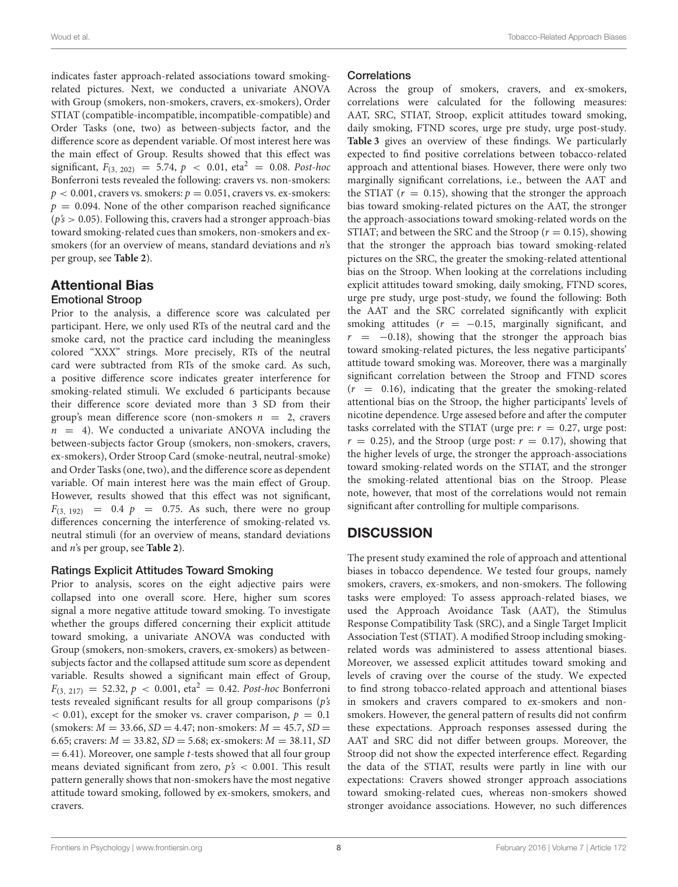indicates faster approach-related associations toward smokingrelated pictures. Next, we conducted a univariate ANOVA with Group (smokers, non-smokers, cravers, ex-smokers), Order STIAT (compatible-incompatible, incompatible-compatible) and Order Tasks (one, two) as between-subjects factor, and the difference score as dependent variable. Of most interest here was the main effect of Group. Results showed that this effect was significant,  $F_{(3, 202)} = 5.74$ ,  $p < 0.01$ , eta<sup>2</sup> = 0.08. Post-hoc Bonferroni tests revealed the following: cravers vs. non-smokers:  $p < 0.001$ , cravers vs. smokers:  $p = 0.051$ , cravers vs. ex-smokers:  $p = 0.094$ . None of the other comparison reached significance  $(p's > 0.05)$ . Following this, cravers had a stronger approach-bias toward smoking-related cues than smokers, non-smokers and exsmokers (for an overview of means, standard deviations and *n*'s per group, see **[Table 2](#page-6-1)**).

# Attentional Bias

### Emotional Stroop

Prior to the analysis, a difference score was calculated per participant. Here, we only used RTs of the neutral card and the smoke card, not the practice card including the meaningless colored "XXX" strings. More precisely, RTs of the neutral card were subtracted from RTs of the smoke card. As such, a positive difference score indicates greater interference for smoking-related stimuli. We excluded 6 participants because their difference score deviated more than 3 SD from their group's mean difference score (non-smokers  $n = 2$ , cravers  $n = 4$ ). We conducted a univariate ANOVA including the between-subjects factor Group (smokers, non-smokers, cravers, ex-smokers), Order Stroop Card (smoke-neutral, neutral-smoke) and Order Tasks (one, two), and the difference score as dependent variable. Of main interest here was the main effect of Group. However, results showed that this effect was not significant,  $F_{(3, 192)} = 0.4 \, p = 0.75$ . As such, there were no group differences concerning the interference of smoking-related vs. neutral stimuli (for an overview of means, standard deviations and n's per group, see **[Table 2](#page-6-1)**).

### Ratings Explicit Attitudes Toward Smoking

Prior to analysis, scores on the eight adjective pairs were collapsed into one overall score. Here, higher sum scores signal a more negative attitude toward smoking. To investigate whether the groups differed concerning their explicit attitude toward smoking, a univariate ANOVA was conducted with Group (smokers, non-smokers, cravers, ex-smokers) as betweensubjects factor and the collapsed attitude sum score as dependent variable. Results showed a significant main effect of Group,  $F_{(3, 217)} = 52.32, p < 0.001, \text{ eta}^2 = 0.42$ . Post-hoc Bonferroni tests revealed significant results for all group comparisons  $(p's)$  $\epsilon$  0.01), except for the smoker vs. craver comparison,  $p = 0.1$  $(smokes: M = 33.66, SD = 4.47; non-smokes: M = 45.7, SD =$ 6.65; cravers:  $M = 33.82$ ,  $SD = 5.68$ ; ex-smokers:  $M = 38.11$ , SD  $= 6.41$ ). Moreover, one sample *t*-tests showed that all four group means deviated significant from zero,  $p's < 0.001$ . This result pattern generally shows that non-smokers have the most negative attitude toward smoking, followed by ex-smokers, smokers, and cravers.

#### **Correlations**

Across the group of smokers, cravers, and ex-smokers, correlations were calculated for the following measures: AAT, SRC, STIAT, Stroop, explicit attitudes toward smoking, daily smoking, FTND scores, urge pre study, urge post-study. **[Table 3](#page-8-0)** gives an overview of these findings. We particularly expected to find positive correlations between tobacco-related approach and attentional biases. However, there were only two marginally significant correlations, i.e., between the AAT and the STIAT  $(r = 0.15)$ , showing that the stronger the approach bias toward smoking-related pictures on the AAT, the stronger the approach-associations toward smoking-related words on the STIAT; and between the SRC and the Stroop ( $r = 0.15$ ), showing that the stronger the approach bias toward smoking-related pictures on the SRC, the greater the smoking-related attentional bias on the Stroop. When looking at the correlations including explicit attitudes toward smoking, daily smoking, FTND scores, urge pre study, urge post-study, we found the following: Both the AAT and the SRC correlated significantly with explicit smoking attitudes ( $r = -0.15$ , marginally significant, and  $r = -0.18$ ), showing that the stronger the approach bias toward smoking-related pictures, the less negative participants' attitude toward smoking was. Moreover, there was a marginally significant correlation between the Stroop and FTND scores  $(r = 0.16)$ , indicating that the greater the smoking-related attentional bias on the Stroop, the higher participants' levels of nicotine dependence. Urge assesed before and after the computer tasks correlated with the STIAT (urge pre:  $r = 0.27$ , urge post:  $r = 0.25$ ), and the Stroop (urge post:  $r = 0.17$ ), showing that the higher levels of urge, the stronger the approach-associations toward smoking-related words on the STIAT, and the stronger the smoking-related attentional bias on the Stroop. Please note, however, that most of the correlations would not remain significant after controlling for multiple comparisons.

# **DISCUSSION**

The present study examined the role of approach and attentional biases in tobacco dependence. We tested four groups, namely smokers, cravers, ex-smokers, and non-smokers. The following tasks were employed: To assess approach-related biases, we used the Approach Avoidance Task (AAT), the Stimulus Response Compatibility Task (SRC), and a Single Target Implicit Association Test (STIAT). A modified Stroop including smokingrelated words was administered to assess attentional biases. Moreover, we assessed explicit attitudes toward smoking and levels of craving over the course of the study. We expected to find strong tobacco-related approach and attentional biases in smokers and cravers compared to ex-smokers and nonsmokers. However, the general pattern of results did not confirm these expectations. Approach responses assessed during the AAT and SRC did not differ between groups. Moreover, the Stroop did not show the expected interference effect. Regarding the data of the STIAT, results were partly in line with our expectations: Cravers showed stronger approach associations toward smoking-related cues, whereas non-smokers showed stronger avoidance associations. However, no such differences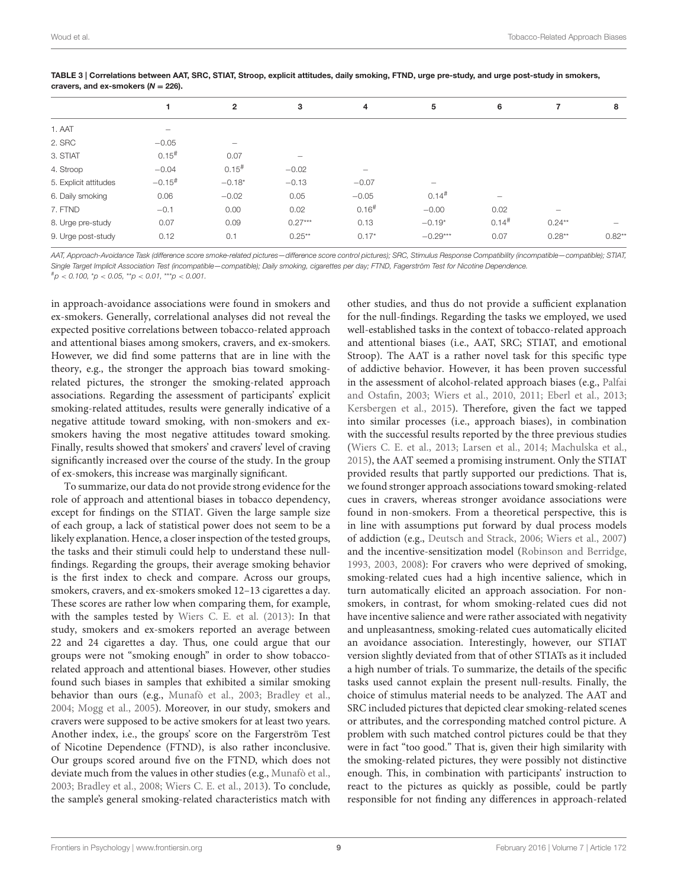|                       |                      | $\overline{2}$           | 3                        | 4                   | 5                        | 6                   | 7                              | 8        |
|-----------------------|----------------------|--------------------------|--------------------------|---------------------|--------------------------|---------------------|--------------------------------|----------|
| 1. AAT                |                      |                          |                          |                     |                          |                     |                                |          |
| 2. SRC                | $-0.05$              | $\overline{\phantom{0}}$ |                          |                     |                          |                     |                                |          |
| 3. STIAT              | $0.15$ <sup>#</sup>  | 0.07                     | $\overline{\phantom{m}}$ |                     |                          |                     |                                |          |
| 4. Stroop             | $-0.04$              | $0.15^{#}$               | $-0.02$                  |                     |                          |                     |                                |          |
| 5. Explicit attitudes | $-0.15$ <sup>#</sup> | $-0.18*$                 | $-0.13$                  | $-0.07$             | $\overline{\phantom{0}}$ |                     |                                |          |
| 6. Daily smoking      | 0.06                 | $-0.02$                  | 0.05                     | $-0.05$             | $0.14$ <sup>#</sup>      | $\qquad \qquad =$   |                                |          |
| 7. FTND               | $-0.1$               | 0.00                     | 0.02                     | $0.16$ <sup>#</sup> | $-0.00$                  | 0.02                | $\qquad \qquad \longleftarrow$ |          |
| 8. Urge pre-study     | 0.07                 | 0.09                     | $0.27***$                | 0.13                | $-0.19*$                 | $0.14$ <sup>#</sup> | $0.24**$                       |          |
| 9. Urge post-study    | 0.12                 | 0.1                      | $0.25**$                 | $0.17*$             | $-0.29***$               | 0.07                | $0.28**$                       | $0.82**$ |
|                       |                      |                          |                          |                     |                          |                     |                                |          |

<span id="page-8-0"></span>TABLE 3 | Correlations between AAT, SRC, STIAT, Stroop, explicit attitudes, daily smoking, FTND, urge pre-study, and urge post-study in smokers, cravers, and ex-smokers ( $N = 226$ ).

AAT, Approach-Avoidance Task (difference score smoke-related pictures -difference score control pictures); SRC, Stimulus Response Compatibility (incompatible–compatible); STIAT, Single Target Implicit Association Test (incompatible—compatible); Daily smoking, cigarettes per day; FTND, Fagerström Test for Nicotine Dependence.

 $^{\#}p < 0.100, \,^{\ast}p < 0.05, \,^{\ast\ast}p < 0.01, \,^{\ast\ast\ast}p < 0.001.$ 

in approach-avoidance associations were found in smokers and ex-smokers. Generally, correlational analyses did not reveal the expected positive correlations between tobacco-related approach and attentional biases among smokers, cravers, and ex-smokers. However, we did find some patterns that are in line with the theory, e.g., the stronger the approach bias toward smokingrelated pictures, the stronger the smoking-related approach associations. Regarding the assessment of participants' explicit smoking-related attitudes, results were generally indicative of a negative attitude toward smoking, with non-smokers and exsmokers having the most negative attitudes toward smoking. Finally, results showed that smokers' and cravers' level of craving significantly increased over the course of the study. In the group of ex-smokers, this increase was marginally significant.

To summarize, our data do not provide strong evidence for the role of approach and attentional biases in tobacco dependency, except for findings on the STIAT. Given the large sample size of each group, a lack of statistical power does not seem to be a likely explanation. Hence, a closer inspection of the tested groups, the tasks and their stimuli could help to understand these nullfindings. Regarding the groups, their average smoking behavior is the first index to check and compare. Across our groups, smokers, cravers, and ex-smokers smoked 12–13 cigarettes a day. These scores are rather low when comparing them, for example, with the samples tested by [Wiers C. E. et al. \(2013\)](#page-10-17): In that study, smokers and ex-smokers reported an average between 22 and 24 cigarettes a day. Thus, one could argue that our groups were not "smoking enough" in order to show tobaccorelated approach and attentional biases. However, other studies found such biases in samples that exhibited a similar smoking behavior than ours (e.g., [Munafò et al., 2003;](#page-10-24) [Bradley et al.,](#page-9-5) [2004;](#page-9-5) [Mogg et al., 2005\)](#page-10-10). Moreover, in our study, smokers and cravers were supposed to be active smokers for at least two years. Another index, i.e., the groups' score on the Fargerström Test of Nicotine Dependence (FTND), is also rather inconclusive. Our groups scored around five on the FTND, which does not deviate much from the values in other studies (e.g., [Munafò et al.,](#page-10-24) [2003;](#page-10-24) [Bradley et al., 2008;](#page-9-6) [Wiers C. E. et al., 2013\)](#page-10-17). To conclude, the sample's general smoking-related characteristics match with

other studies, and thus do not provide a sufficient explanation for the null-findings. Regarding the tasks we employed, we used well-established tasks in the context of tobacco-related approach and attentional biases (i.e., AAT, SRC; STIAT, and emotional Stroop). The AAT is a rather novel task for this specific type of addictive behavior. However, it has been proven successful in the assessment of alcohol-related approach biases (e.g., Palfai and Ostafin, [2003;](#page-10-13) [Wiers et al., 2010,](#page-10-14) [2011;](#page-10-15) [Eberl et al., 2013;](#page-9-7) [Kersbergen et al., 2015\)](#page-10-16). Therefore, given the fact we tapped into similar processes (i.e., approach biases), in combination with the successful results reported by the three previous studies [\(Wiers C. E. et al., 2013;](#page-10-17) [Larsen et al., 2014;](#page-10-19) [Machulska et al.,](#page-10-18) [2015\)](#page-10-18), the AAT seemed a promising instrument. Only the STIAT provided results that partly supported our predictions. That is, we found stronger approach associations toward smoking-related cues in cravers, whereas stronger avoidance associations were found in non-smokers. From a theoretical perspective, this is in line with assumptions put forward by dual process models of addiction (e.g., [Deutsch and Strack, 2006;](#page-9-1) [Wiers et al., 2007\)](#page-10-2) and the incentive-sensitization model [\(Robinson and Berridge,](#page-10-3) [1993,](#page-10-3) [2003,](#page-10-4) [2008\)](#page-10-5): For cravers who were deprived of smoking, smoking-related cues had a high incentive salience, which in turn automatically elicited an approach association. For nonsmokers, in contrast, for whom smoking-related cues did not have incentive salience and were rather associated with negativity and unpleasantness, smoking-related cues automatically elicited an avoidance association. Interestingly, however, our STIAT version slightly deviated from that of other STIATs as it included a high number of trials. To summarize, the details of the specific tasks used cannot explain the present null-results. Finally, the choice of stimulus material needs to be analyzed. The AAT and SRC included pictures that depicted clear smoking-related scenes or attributes, and the corresponding matched control picture. A problem with such matched control pictures could be that they were in fact "too good." That is, given their high similarity with the smoking-related pictures, they were possibly not distinctive enough. This, in combination with participants' instruction to react to the pictures as quickly as possible, could be partly responsible for not finding any differences in approach-related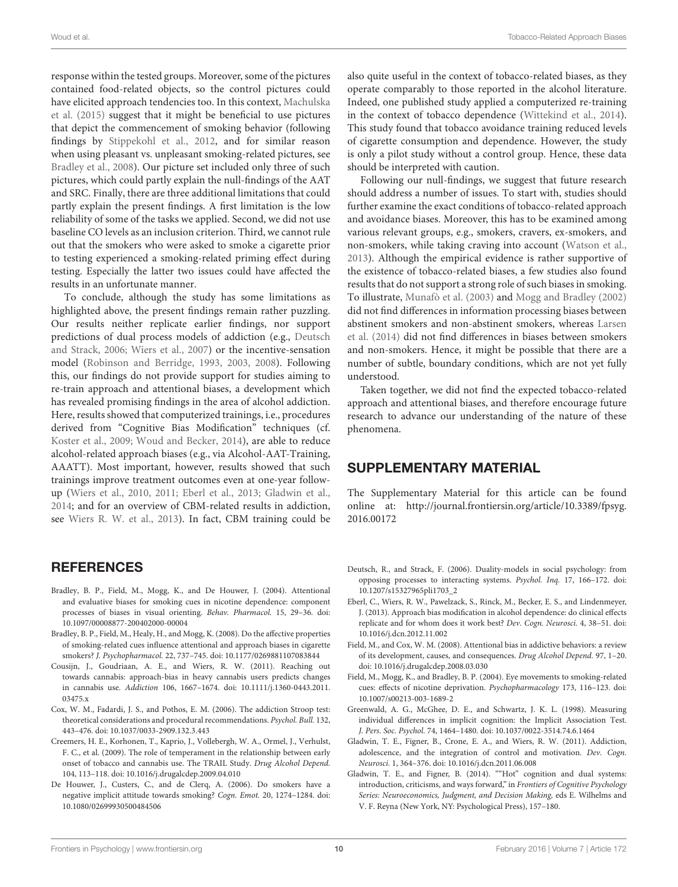response within the tested groups. Moreover, some of the pictures contained food-related objects, so the control pictures could have elicited approach tendencies too. In this context, Machulska et al. [\(2015\)](#page-10-18) suggest that it might be beneficial to use pictures that depict the commencement of smoking behavior (following findings by [Stippekohl et al., 2012,](#page-10-32) and for similar reason when using pleasant vs. unpleasant smoking-related pictures, see [Bradley et al., 2008\)](#page-9-6). Our picture set included only three of such pictures, which could partly explain the null-findings of the AAT and SRC. Finally, there are three additional limitations that could partly explain the present findings. A first limitation is the low reliability of some of the tasks we applied. Second, we did not use baseline CO levels as an inclusion criterion. Third, we cannot rule out that the smokers who were asked to smoke a cigarette prior to testing experienced a smoking-related priming effect during testing. Especially the latter two issues could have affected the results in an unfortunate manner.

To conclude, although the study has some limitations as highlighted above, the present findings remain rather puzzling. Our results neither replicate earlier findings, nor support predictions of dual process models of addiction (e.g., Deutsch and Strack, [2006;](#page-9-1) [Wiers et al., 2007\)](#page-10-2) or the incentive-sensation model [\(Robinson and Berridge, 1993,](#page-10-3) [2003,](#page-10-4) [2008\)](#page-10-5). Following this, our findings do not provide support for studies aiming to re-train approach and attentional biases, a development which has revealed promising findings in the area of alcohol addiction. Here, results showed that computerized trainings, i.e., procedures derived from "Cognitive Bias Modification" techniques (cf. [Koster et al., 2009;](#page-10-33) [Woud and Becker, 2014\)](#page-10-34), are able to reduce alcohol-related approach biases (e.g., via Alcohol-AAT-Training, AAATT). Most important, however, results showed that such trainings improve treatment outcomes even at one-year followup [\(Wiers et al., 2010,](#page-10-14) [2011;](#page-10-15) [Eberl et al., 2013;](#page-9-7) [Gladwin et al.,](#page-10-35) [2014;](#page-10-35) and for an overview of CBM-related results in addiction, see [Wiers R. W. et al., 2013\)](#page-10-36). In fact, CBM training could be

## REFERENCES

- <span id="page-9-5"></span>Bradley, B. P., Field, M., Mogg, K., and De Houwer, J. (2004). Attentional and evaluative biases for smoking cues in nicotine dependence: component processes of biases in visual orienting. Behav. Pharmacol. 15, 29–36. doi: 10.1097/00008877-200402000-00004
- <span id="page-9-6"></span>Bradley, B. P., Field, M., Healy, H., and Mogg, K. (2008). Do the affective properties of smoking-related cues influence attentional and approach biases in cigarette smokers? J. Psychopharmacol. 22, 737–745. doi: 10.1177/0269881107083844
- <span id="page-9-12"></span>Cousijn, J., Goudriaan, A. E., and Wiers, R. W. (2011). Reaching out towards cannabis: approach-bias in heavy cannabis users predicts changes in cannabis use. Addiction 106, 1667–1674. doi: 10.1111/j.1360-0443.2011. 03475.x
- <span id="page-9-10"></span>Cox, W. M., Fadardi, J. S., and Pothos, E. M. (2006). The addiction Stroop test: theoretical considerations and procedural recommendations. Psychol. Bull. 132, 443–476. doi: 10.1037/0033-2909.132.3.443
- <span id="page-9-0"></span>Creemers, H. E., Korhonen, T., Kaprio, J., Vollebergh, W. A., Ormel, J., Verhulst, F. C., et al. (2009). The role of temperament in the relationship between early onset of tobacco and cannabis use. The TRAIL Study. Drug Alcohol Depend. 104, 113–118. doi: 10.1016/j.drugalcdep.2009.04.010
- <span id="page-9-9"></span>De Houwer, J., Custers, C., and de Clerq, A. (2006). Do smokers have a negative implicit attitude towards smoking? Cogn. Emot. 20, 1274–1284. doi: 10.1080/02699930500484506

also quite useful in the context of tobacco-related biases, as they operate comparably to those reported in the alcohol literature. Indeed, one published study applied a computerized re-training in the context of tobacco dependence [\(Wittekind et al., 2014\)](#page-10-37). This study found that tobacco avoidance training reduced levels of cigarette consumption and dependence. However, the study is only a pilot study without a control group. Hence, these data should be interpreted with caution.

Following our null-findings, we suggest that future research should address a number of issues. To start with, studies should further examine the exact conditions of tobacco-related approach and avoidance biases. Moreover, this has to be examined among various relevant groups, e.g., smokers, cravers, ex-smokers, and non-smokers, while taking craving into account [\(Watson et al.,](#page-10-20) [2013\)](#page-10-20). Although the empirical evidence is rather supportive of the existence of tobacco-related biases, a few studies also found results that do not support a strong role of such biases in smoking. To illustrate, [Munafò et al. \(2003\)](#page-10-24) and [Mogg and Bradley \(2002\)](#page-10-26) did not find differences in information processing biases between abstinent smokers and non-abstinent smokers, whereas Larsen et al. [\(2014\)](#page-10-19) did not find differences in biases between smokers and non-smokers. Hence, it might be possible that there are a number of subtle, boundary conditions, which are not yet fully understood.

Taken together, we did not find the expected tobacco-related approach and attentional biases, and therefore encourage future research to advance our understanding of the nature of these phenomena.

## SUPPLEMENTARY MATERIAL

The Supplementary Material for this article can be found [online at: http://journal.frontiersin.org/article/10.3389/fpsyg.](http://journal.frontiersin.org/article/10.3389/fpsyg.2016.00172) 2016.00172

- <span id="page-9-1"></span>Deutsch, R., and Strack, F. (2006). Duality-models in social psychology: from opposing processes to interacting systems. Psychol. Inq. 17, 166–172. doi: 10.1207/s15327965pli1703\_2
- <span id="page-9-7"></span>Eberl, C., Wiers, R. W., Pawelzack, S., Rinck, M., Becker, E. S., and Lindenmeyer, J. (2013). Approach bias modification in alcohol dependence: do clinical effects replicate and for whom does it work best? Dev. Cogn. Neurosci. 4, 38–51. doi: 10.1016/j.dcn.2012.11.002
- <span id="page-9-4"></span>Field, M., and Cox, W. M. (2008). Attentional bias in addictive behaviors: a review of its development, causes, and consequences. Drug Alcohol Depend. 97, 1–20. doi: 10.1016/j.drugalcdep.2008.03.030
- <span id="page-9-11"></span>Field, M., Mogg, K., and Bradley, B. P. (2004). Eye movements to smoking-related cues: effects of nicotine deprivation. Psychopharmacology 173, 116–123. doi: 10.1007/s00213-003-1689-2
- <span id="page-9-8"></span>Greenwald, A. G., McGhee, D. E., and Schwartz, J. K. L. (1998). Measuring individual differences in implicit cognition: the Implicit Association Test. J. Pers. Soc. Psychol. 74, 1464–1480. doi: 10.1037/0022-3514.74.6.1464
- <span id="page-9-2"></span>Gladwin, T. E., Figner, B., Crone, E. A., and Wiers, R. W. (2011). Addiction, adolescence, and the integration of control and motivation. Dev. Cogn. Neurosci. 1, 364–376. doi: 10.1016/j.dcn.2011.06.008
- <span id="page-9-3"></span>Gladwin, T. E., and Figner, B. (2014). ""Hot" cognition and dual systems: introduction, criticisms, and ways forward," in Frontiers of Cognitive Psychology Series: Neuroeconomics, Judgment, and Decision Making, eds E. Wilhelms and V. F. Reyna (New York, NY: Psychological Press), 157–180.